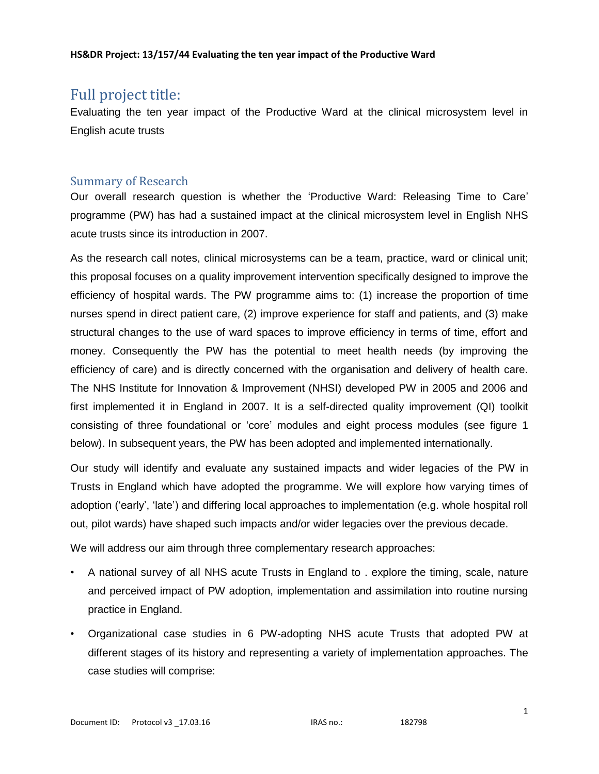# Full project title:

Evaluating the ten year impact of the Productive Ward at the clinical microsystem level in English acute trusts

# Summary of Research

Our overall research question is whether the 'Productive Ward: Releasing Time to Care' programme (PW) has had a sustained impact at the clinical microsystem level in English NHS acute trusts since its introduction in 2007.

As the research call notes, clinical microsystems can be a team, practice, ward or clinical unit; this proposal focuses on a quality improvement intervention specifically designed to improve the efficiency of hospital wards. The PW programme aims to: (1) increase the proportion of time nurses spend in direct patient care, (2) improve experience for staff and patients, and (3) make structural changes to the use of ward spaces to improve efficiency in terms of time, effort and money. Consequently the PW has the potential to meet health needs (by improving the efficiency of care) and is directly concerned with the organisation and delivery of health care. The NHS Institute for Innovation & Improvement (NHSI) developed PW in 2005 and 2006 and first implemented it in England in 2007. It is a self-directed quality improvement (QI) toolkit consisting of three foundational or 'core' modules and eight process modules (see figure 1 below). In subsequent years, the PW has been adopted and implemented internationally.

Our study will identify and evaluate any sustained impacts and wider legacies of the PW in Trusts in England which have adopted the programme. We will explore how varying times of adoption ('early', 'late') and differing local approaches to implementation (e.g. whole hospital roll out, pilot wards) have shaped such impacts and/or wider legacies over the previous decade.

We will address our aim through three complementary research approaches:

- A national survey of all NHS acute Trusts in England to . explore the timing, scale, nature and perceived impact of PW adoption, implementation and assimilation into routine nursing practice in England.
- Organizational case studies in 6 PW-adopting NHS acute Trusts that adopted PW at different stages of its history and representing a variety of implementation approaches. The case studies will comprise: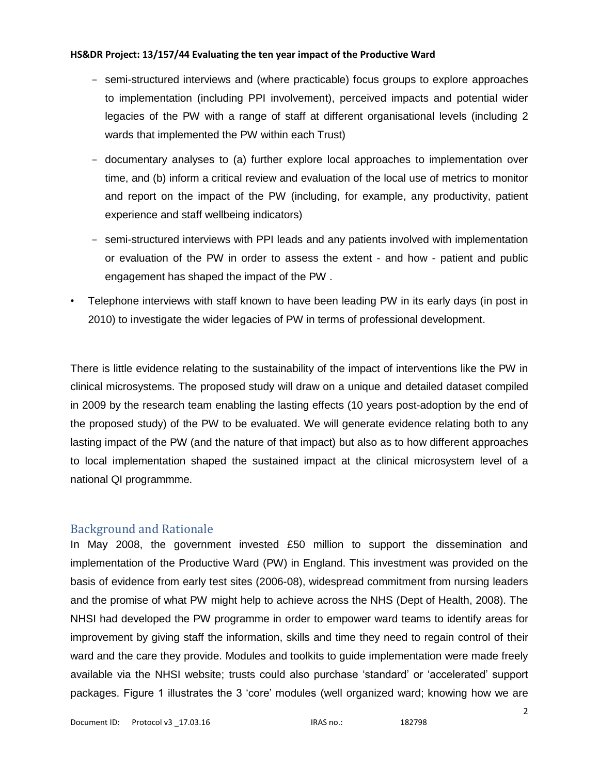- semi-structured interviews and (where practicable) focus groups to explore approaches to implementation (including PPI involvement), perceived impacts and potential wider legacies of the PW with a range of staff at different organisational levels (including 2 wards that implemented the PW within each Trust)
- documentary analyses to (a) further explore local approaches to implementation over time, and (b) inform a critical review and evaluation of the local use of metrics to monitor and report on the impact of the PW (including, for example, any productivity, patient experience and staff wellbeing indicators)
- semi-structured interviews with PPI leads and any patients involved with implementation or evaluation of the PW in order to assess the extent - and how - patient and public engagement has shaped the impact of the PW .
- Telephone interviews with staff known to have been leading PW in its early days (in post in 2010) to investigate the wider legacies of PW in terms of professional development.

There is little evidence relating to the sustainability of the impact of interventions like the PW in clinical microsystems. The proposed study will draw on a unique and detailed dataset compiled in 2009 by the research team enabling the lasting effects (10 years post-adoption by the end of the proposed study) of the PW to be evaluated. We will generate evidence relating both to any lasting impact of the PW (and the nature of that impact) but also as to how different approaches to local implementation shaped the sustained impact at the clinical microsystem level of a national QI programmme.

# Background and Rationale

In May 2008, the government invested £50 million to support the dissemination and implementation of the Productive Ward (PW) in England. This investment was provided on the basis of evidence from early test sites (2006-08), widespread commitment from nursing leaders and the promise of what PW might help to achieve across the NHS (Dept of Health, 2008). The NHSI had developed the PW programme in order to empower ward teams to identify areas for improvement by giving staff the information, skills and time they need to regain control of their ward and the care they provide. Modules and toolkits to guide implementation were made freely available via the NHSI website; trusts could also purchase 'standard' or 'accelerated' support packages. Figure 1 illustrates the 3 'core' modules (well organized ward; knowing how we are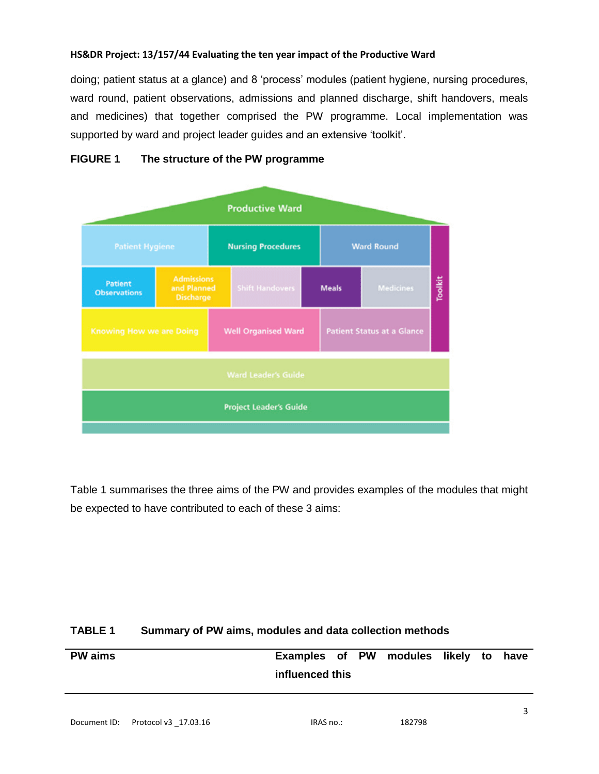doing; patient status at a glance) and 8 'process' modules (patient hygiene, nursing procedures, ward round, patient observations, admissions and planned discharge, shift handovers, meals and medicines) that together comprised the PW programme. Local implementation was supported by ward and project leader guides and an extensive 'toolkit'.



## **FIGURE 1 The structure of the PW programme**

Table 1 summarises the three aims of the PW and provides examples of the modules that might be expected to have contributed to each of these 3 aims:

### **TABLE 1 Summary of PW aims, modules and data collection methods**

| <b>PW</b> aims | Examples of PW modules likely to have |  |  |  |
|----------------|---------------------------------------|--|--|--|
|                | influenced this                       |  |  |  |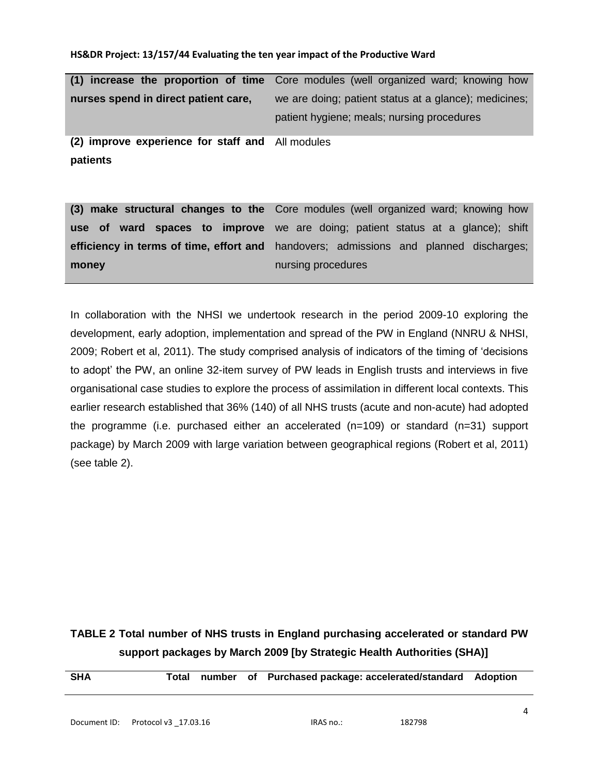|                                                              | (1) increase the proportion of time Core modules (well organized ward; knowing how                  |
|--------------------------------------------------------------|-----------------------------------------------------------------------------------------------------|
| nurses spend in direct patient care,                         | we are doing; patient status at a glance); medicines;<br>patient hygiene; meals; nursing procedures |
| (2) improve experience for staff and All modules<br>patients |                                                                                                     |

**(3) make structural changes to the**  Core modules (well organized ward; knowing how **use of ward spaces to improve**  we are doing; patient status at a glance); shift **efficiency in terms of time, effort and**  handovers; admissions and planned discharges; **money** nursing procedures

In collaboration with the NHSI we undertook research in the period 2009-10 exploring the development, early adoption, implementation and spread of the PW in England (NNRU & NHSI, 2009; Robert et al, 2011). The study comprised analysis of indicators of the timing of 'decisions to adopt' the PW, an online 32-item survey of PW leads in English trusts and interviews in five organisational case studies to explore the process of assimilation in different local contexts. This earlier research established that 36% (140) of all NHS trusts (acute and non-acute) had adopted the programme (i.e. purchased either an accelerated (n=109) or standard (n=31) support package) by March 2009 with large variation between geographical regions (Robert et al, 2011) (see table 2).

# **TABLE 2 Total number of NHS trusts in England purchasing accelerated or standard PW support packages by March 2009 [by Strategic Health Authorities (SHA)]**

| <b>SHA</b>   | Total                |  | number of Purchased package: accelerated/standard Adoption |   |  |
|--------------|----------------------|--|------------------------------------------------------------|---|--|
| Document ID: | Protocol v3 17.03.16 |  | 182798<br>IRAS no.:                                        | 4 |  |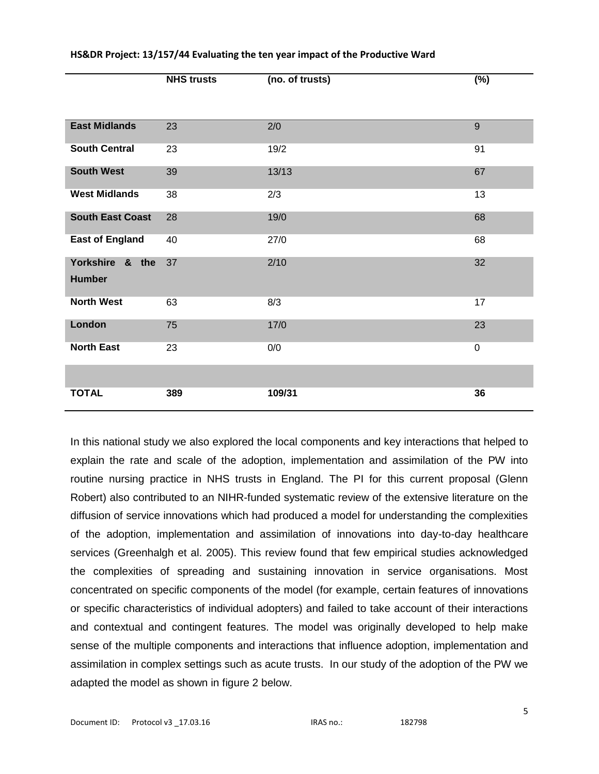|                                  | $\cdots \quad \cdots \quad \cdots$ |        | $\mathbf{v}$ |
|----------------------------------|------------------------------------|--------|--------------|
|                                  |                                    |        |              |
|                                  |                                    |        |              |
| <b>East Midlands</b>             | 23                                 | 2/0    | 9            |
| <b>South Central</b>             | 23                                 | 19/2   | 91           |
| <b>South West</b>                | 39                                 | 13/13  | 67           |
| <b>West Midlands</b>             | 38                                 | 2/3    | 13           |
| <b>South East Coast</b>          | 28                                 | 19/0   | 68           |
| <b>East of England</b>           | 40                                 | 27/0   | 68           |
| Yorkshire & the<br><b>Humber</b> | 37                                 | 2/10   | 32           |
| <b>North West</b>                | 63                                 | 8/3    | 17           |
| London                           | 75                                 | 17/0   | 23           |
| <b>North East</b>                | 23                                 | 0/0    | $\mathbf 0$  |
|                                  |                                    |        |              |
| <b>TOTAL</b>                     | 389                                | 109/31 | 36           |

**NHS trusts (no. of trusts) (%)**

#### **HS&DR Project: 13/157/44 Evaluating the ten year impact of the Productive Ward**

In this national study we also explored the local components and key interactions that helped to explain the rate and scale of the adoption, implementation and assimilation of the PW into routine nursing practice in NHS trusts in England. The PI for this current proposal (Glenn Robert) also contributed to an NIHR-funded systematic review of the extensive literature on the diffusion of service innovations which had produced a model for understanding the complexities of the adoption, implementation and assimilation of innovations into day-to-day healthcare services (Greenhalgh et al. 2005). This review found that few empirical studies acknowledged the complexities of spreading and sustaining innovation in service organisations. Most concentrated on specific components of the model (for example, certain features of innovations or specific characteristics of individual adopters) and failed to take account of their interactions and contextual and contingent features. The model was originally developed to help make sense of the multiple components and interactions that influence adoption, implementation and assimilation in complex settings such as acute trusts. In our study of the adoption of the PW we adapted the model as shown in figure 2 below.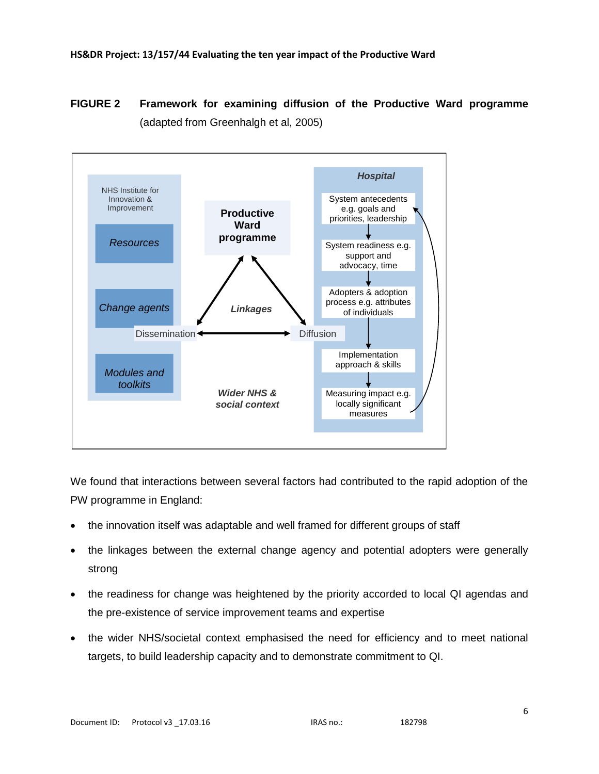# **FIGURE 2 Framework for examining diffusion of the Productive Ward programme**  (adapted from Greenhalgh et al, 2005)



We found that interactions between several factors had contributed to the rapid adoption of the PW programme in England:

- the innovation itself was adaptable and well framed for different groups of staff
- the linkages between the external change agency and potential adopters were generally strong
- the readiness for change was heightened by the priority accorded to local QI agendas and the pre-existence of service improvement teams and expertise
- the wider NHS/societal context emphasised the need for efficiency and to meet national targets, to build leadership capacity and to demonstrate commitment to QI.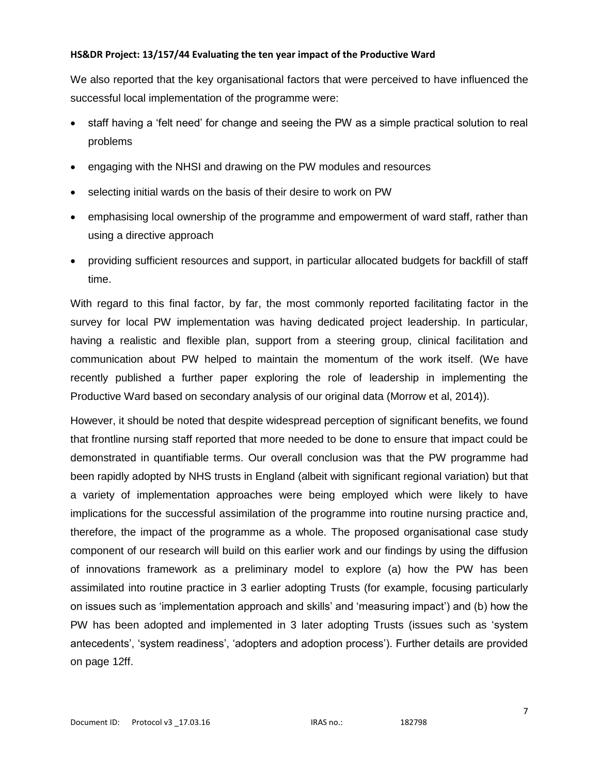We also reported that the key organisational factors that were perceived to have influenced the successful local implementation of the programme were:

- staff having a 'felt need' for change and seeing the PW as a simple practical solution to real problems
- engaging with the NHSI and drawing on the PW modules and resources
- selecting initial wards on the basis of their desire to work on PW
- emphasising local ownership of the programme and empowerment of ward staff, rather than using a directive approach
- providing sufficient resources and support, in particular allocated budgets for backfill of staff time.

With regard to this final factor, by far, the most commonly reported facilitating factor in the survey for local PW implementation was having dedicated project leadership. In particular, having a realistic and flexible plan, support from a steering group, clinical facilitation and communication about PW helped to maintain the momentum of the work itself. (We have recently published a further paper exploring the role of leadership in implementing the Productive Ward based on secondary analysis of our original data (Morrow et al, 2014)).

However, it should be noted that despite widespread perception of significant benefits, we found that frontline nursing staff reported that more needed to be done to ensure that impact could be demonstrated in quantifiable terms. Our overall conclusion was that the PW programme had been rapidly adopted by NHS trusts in England (albeit with significant regional variation) but that a variety of implementation approaches were being employed which were likely to have implications for the successful assimilation of the programme into routine nursing practice and, therefore, the impact of the programme as a whole. The proposed organisational case study component of our research will build on this earlier work and our findings by using the diffusion of innovations framework as a preliminary model to explore (a) how the PW has been assimilated into routine practice in 3 earlier adopting Trusts (for example, focusing particularly on issues such as 'implementation approach and skills' and 'measuring impact') and (b) how the PW has been adopted and implemented in 3 later adopting Trusts (issues such as 'system antecedents', 'system readiness', 'adopters and adoption process'). Further details are provided on page 12ff.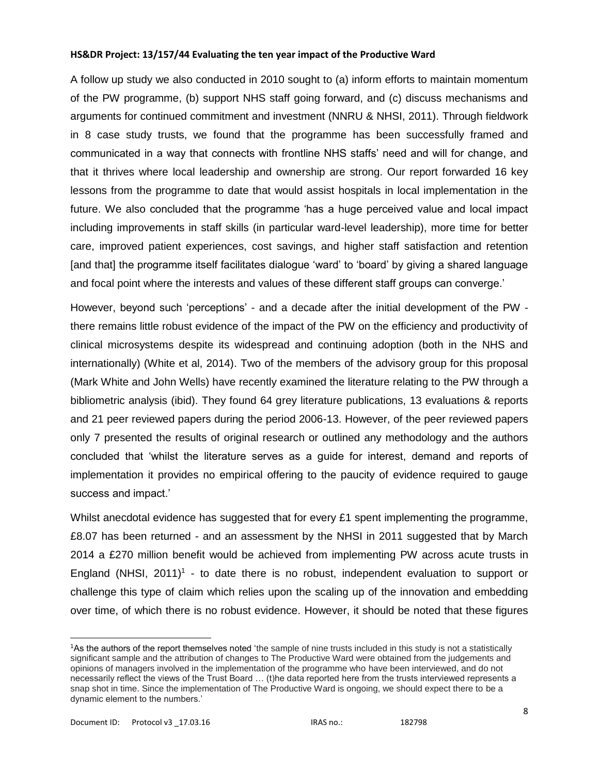A follow up study we also conducted in 2010 sought to (a) inform efforts to maintain momentum of the PW programme, (b) support NHS staff going forward, and (c) discuss mechanisms and arguments for continued commitment and investment (NNRU & NHSI, 2011). Through fieldwork in 8 case study trusts, we found that the programme has been successfully framed and communicated in a way that connects with frontline NHS staffs' need and will for change, and that it thrives where local leadership and ownership are strong. Our report forwarded 16 key lessons from the programme to date that would assist hospitals in local implementation in the future. We also concluded that the programme 'has a huge perceived value and local impact including improvements in staff skills (in particular ward-level leadership), more time for better care, improved patient experiences, cost savings, and higher staff satisfaction and retention [and that] the programme itself facilitates dialogue 'ward' to 'board' by giving a shared language and focal point where the interests and values of these different staff groups can converge.'

However, beyond such 'perceptions' - and a decade after the initial development of the PW there remains little robust evidence of the impact of the PW on the efficiency and productivity of clinical microsystems despite its widespread and continuing adoption (both in the NHS and internationally) (White et al, 2014). Two of the members of the advisory group for this proposal (Mark White and John Wells) have recently examined the literature relating to the PW through a bibliometric analysis (ibid). They found 64 grey literature publications, 13 evaluations & reports and 21 peer reviewed papers during the period 2006-13. However, of the peer reviewed papers only 7 presented the results of original research or outlined any methodology and the authors concluded that 'whilst the literature serves as a guide for interest, demand and reports of implementation it provides no empirical offering to the paucity of evidence required to gauge success and impact.'

Whilst anecdotal evidence has suggested that for every £1 spent implementing the programme, £8.07 has been returned - and an assessment by the NHSI in 2011 suggested that by March 2014 a £270 million benefit would be achieved from implementing PW across acute trusts in England (NHSI,  $2011$ )<sup>1</sup> - to date there is no robust, independent evaluation to support or challenge this type of claim which relies upon the scaling up of the innovation and embedding over time, of which there is no robust evidence. However, it should be noted that these figures

 $\overline{a}$ 

<sup>1</sup>As the authors of the report themselves noted 'the sample of nine trusts included in this study is not a statistically significant sample and the attribution of changes to The Productive Ward were obtained from the judgements and opinions of managers involved in the implementation of the programme who have been interviewed, and do not necessarily reflect the views of the Trust Board … (t)he data reported here from the trusts interviewed represents a snap shot in time. Since the implementation of The Productive Ward is ongoing, we should expect there to be a dynamic element to the numbers.'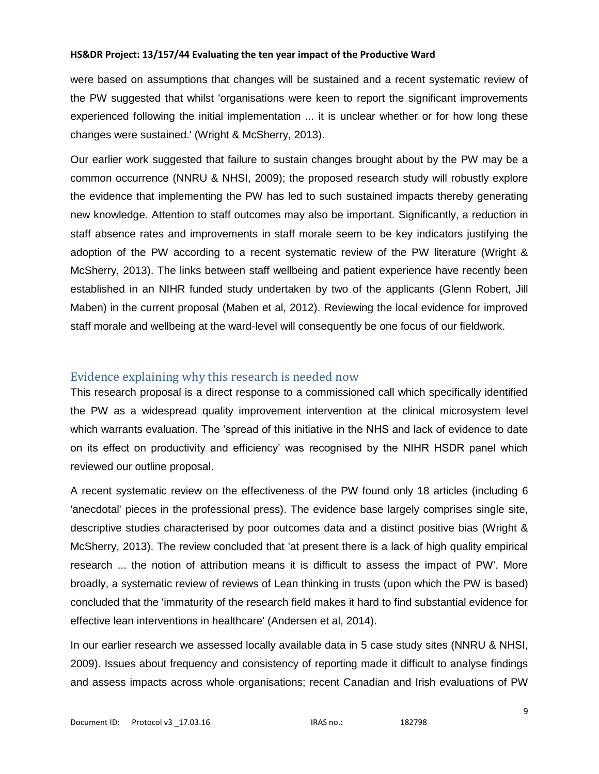were based on assumptions that changes will be sustained and a recent systematic review of the PW suggested that whilst 'organisations were keen to report the significant improvements experienced following the initial implementation ... it is unclear whether or for how long these changes were sustained.' (Wright & McSherry, 2013).

Our earlier work suggested that failure to sustain changes brought about by the PW may be a common occurrence (NNRU & NHSI, 2009); the proposed research study will robustly explore the evidence that implementing the PW has led to such sustained impacts thereby generating new knowledge. Attention to staff outcomes may also be important. Significantly, a reduction in staff absence rates and improvements in staff morale seem to be key indicators justifying the adoption of the PW according to a recent systematic review of the PW literature (Wright & McSherry, 2013). The links between staff wellbeing and patient experience have recently been established in an NIHR funded study undertaken by two of the applicants (Glenn Robert, Jill Maben) in the current proposal (Maben et al, 2012). Reviewing the local evidence for improved staff morale and wellbeing at the ward-level will consequently be one focus of our fieldwork.

# Evidence explaining why this research is needed now

This research proposal is a direct response to a commissioned call which specifically identified the PW as a widespread quality improvement intervention at the clinical microsystem level which warrants evaluation. The 'spread of this initiative in the NHS and lack of evidence to date on its effect on productivity and efficiency' was recognised by the NIHR HSDR panel which reviewed our outline proposal.

A recent systematic review on the effectiveness of the PW found only 18 articles (including 6 'anecdotal' pieces in the professional press). The evidence base largely comprises single site, descriptive studies characterised by poor outcomes data and a distinct positive bias (Wright & McSherry, 2013). The review concluded that 'at present there is a lack of high quality empirical research ... the notion of attribution means it is difficult to assess the impact of PW'. More broadly, a systematic review of reviews of Lean thinking in trusts (upon which the PW is based) concluded that the 'immaturity of the research field makes it hard to find substantial evidence for effective lean interventions in healthcare' (Andersen et al, 2014).

In our earlier research we assessed locally available data in 5 case study sites (NNRU & NHSI, 2009). Issues about frequency and consistency of reporting made it difficult to analyse findings and assess impacts across whole organisations; recent Canadian and Irish evaluations of PW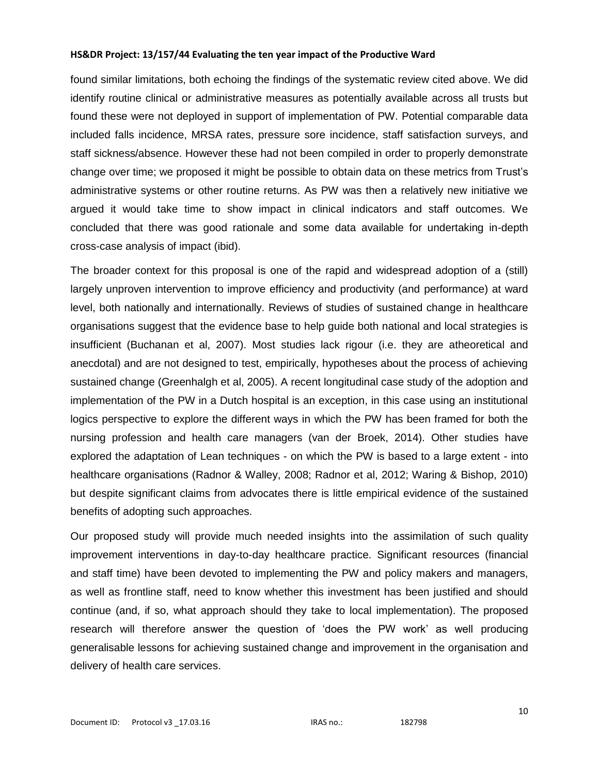found similar limitations, both echoing the findings of the systematic review cited above. We did identify routine clinical or administrative measures as potentially available across all trusts but found these were not deployed in support of implementation of PW. Potential comparable data included falls incidence, MRSA rates, pressure sore incidence, staff satisfaction surveys, and staff sickness/absence. However these had not been compiled in order to properly demonstrate change over time; we proposed it might be possible to obtain data on these metrics from Trust's administrative systems or other routine returns. As PW was then a relatively new initiative we argued it would take time to show impact in clinical indicators and staff outcomes. We concluded that there was good rationale and some data available for undertaking in-depth cross-case analysis of impact (ibid).

The broader context for this proposal is one of the rapid and widespread adoption of a (still) largely unproven intervention to improve efficiency and productivity (and performance) at ward level, both nationally and internationally. Reviews of studies of sustained change in healthcare organisations suggest that the evidence base to help guide both national and local strategies is insufficient (Buchanan et al, 2007). Most studies lack rigour (i.e. they are atheoretical and anecdotal) and are not designed to test, empirically, hypotheses about the process of achieving sustained change (Greenhalgh et al, 2005). A recent longitudinal case study of the adoption and implementation of the PW in a Dutch hospital is an exception, in this case using an institutional logics perspective to explore the different ways in which the PW has been framed for both the nursing profession and health care managers (van der Broek, 2014). Other studies have explored the adaptation of Lean techniques - on which the PW is based to a large extent - into healthcare organisations (Radnor & Walley, 2008; Radnor et al, 2012; Waring & Bishop, 2010) but despite significant claims from advocates there is little empirical evidence of the sustained benefits of adopting such approaches.

Our proposed study will provide much needed insights into the assimilation of such quality improvement interventions in day-to-day healthcare practice. Significant resources (financial and staff time) have been devoted to implementing the PW and policy makers and managers, as well as frontline staff, need to know whether this investment has been justified and should continue (and, if so, what approach should they take to local implementation). The proposed research will therefore answer the question of 'does the PW work' as well producing generalisable lessons for achieving sustained change and improvement in the organisation and delivery of health care services.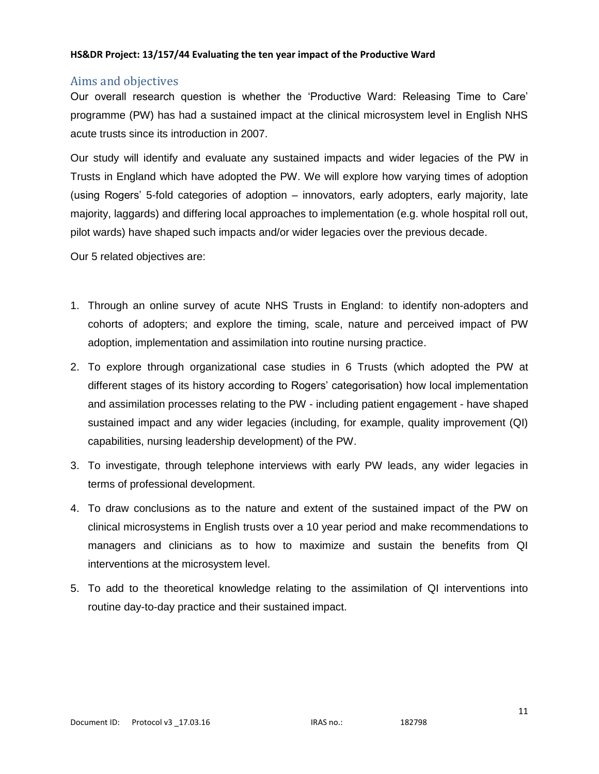# Aims and objectives

Our overall research question is whether the 'Productive Ward: Releasing Time to Care' programme (PW) has had a sustained impact at the clinical microsystem level in English NHS acute trusts since its introduction in 2007.

Our study will identify and evaluate any sustained impacts and wider legacies of the PW in Trusts in England which have adopted the PW. We will explore how varying times of adoption (using Rogers' 5-fold categories of adoption – innovators, early adopters, early majority, late majority, laggards) and differing local approaches to implementation (e.g. whole hospital roll out, pilot wards) have shaped such impacts and/or wider legacies over the previous decade.

Our 5 related objectives are:

- 1. Through an online survey of acute NHS Trusts in England: to identify non-adopters and cohorts of adopters; and explore the timing, scale, nature and perceived impact of PW adoption, implementation and assimilation into routine nursing practice.
- 2. To explore through organizational case studies in 6 Trusts (which adopted the PW at different stages of its history according to Rogers' categorisation) how local implementation and assimilation processes relating to the PW - including patient engagement - have shaped sustained impact and any wider legacies (including, for example, quality improvement (QI) capabilities, nursing leadership development) of the PW.
- 3. To investigate, through telephone interviews with early PW leads, any wider legacies in terms of professional development.
- 4. To draw conclusions as to the nature and extent of the sustained impact of the PW on clinical microsystems in English trusts over a 10 year period and make recommendations to managers and clinicians as to how to maximize and sustain the benefits from QI interventions at the microsystem level.
- 5. To add to the theoretical knowledge relating to the assimilation of QI interventions into routine day-to-day practice and their sustained impact.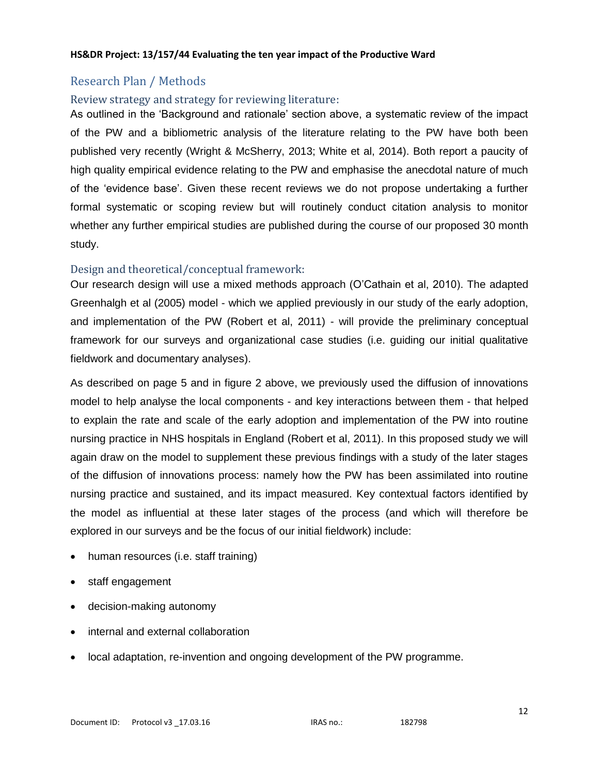# Research Plan / Methods

### Review strategy and strategy for reviewing literature:

As outlined in the 'Background and rationale' section above, a systematic review of the impact of the PW and a bibliometric analysis of the literature relating to the PW have both been published very recently (Wright & McSherry, 2013; White et al, 2014). Both report a paucity of high quality empirical evidence relating to the PW and emphasise the anecdotal nature of much of the 'evidence base'. Given these recent reviews we do not propose undertaking a further formal systematic or scoping review but will routinely conduct citation analysis to monitor whether any further empirical studies are published during the course of our proposed 30 month study.

### Design and theoretical/conceptual framework:

Our research design will use a mixed methods approach (O'Cathain et al, 2010). The adapted Greenhalgh et al (2005) model - which we applied previously in our study of the early adoption, and implementation of the PW (Robert et al, 2011) - will provide the preliminary conceptual framework for our surveys and organizational case studies (i.e. guiding our initial qualitative fieldwork and documentary analyses).

As described on page 5 and in figure 2 above, we previously used the diffusion of innovations model to help analyse the local components - and key interactions between them - that helped to explain the rate and scale of the early adoption and implementation of the PW into routine nursing practice in NHS hospitals in England (Robert et al, 2011). In this proposed study we will again draw on the model to supplement these previous findings with a study of the later stages of the diffusion of innovations process: namely how the PW has been assimilated into routine nursing practice and sustained, and its impact measured. Key contextual factors identified by the model as influential at these later stages of the process (and which will therefore be explored in our surveys and be the focus of our initial fieldwork) include:

- human resources (i.e. staff training)
- staff engagement
- decision-making autonomy
- internal and external collaboration
- local adaptation, re-invention and ongoing development of the PW programme.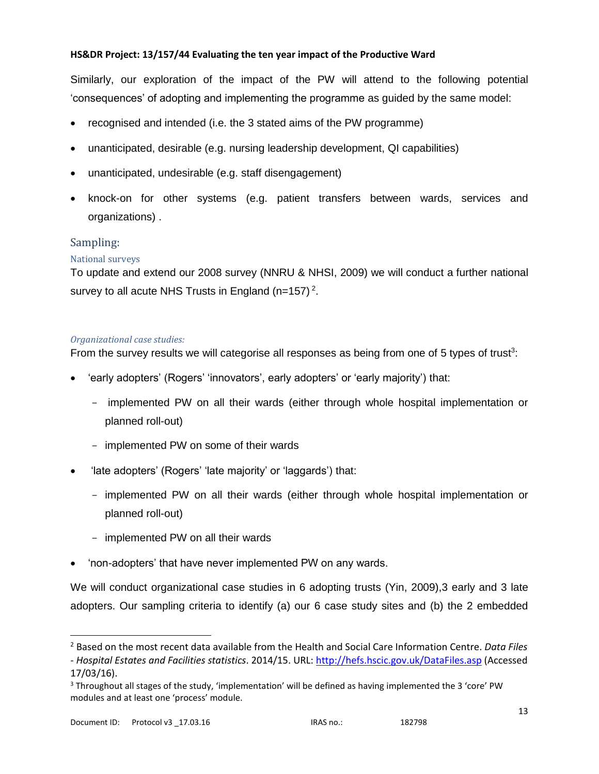Similarly, our exploration of the impact of the PW will attend to the following potential 'consequences' of adopting and implementing the programme as guided by the same model:

- recognised and intended (i.e. the 3 stated aims of the PW programme)
- unanticipated, desirable (e.g. nursing leadership development, QI capabilities)
- unanticipated, undesirable (e.g. staff disengagement)
- knock-on for other systems (e.g. patient transfers between wards, services and organizations) .

# Sampling:

### National surveys

To update and extend our 2008 survey (NNRU & NHSI, 2009) we will conduct a further national survey to all acute NHS Trusts in England (n=157)<sup>2</sup>.

### *Organizational case studies:*

From the survey results we will categorise all responses as being from one of 5 types of trust<sup>3</sup>:

- 'early adopters' (Rogers' 'innovators', early adopters' or 'early majority') that:
	- implemented PW on all their wards (either through whole hospital implementation or planned roll-out)
	- implemented PW on some of their wards
- 'late adopters' (Rogers' 'late majority' or 'laggards') that:
	- implemented PW on all their wards (either through whole hospital implementation or planned roll-out)
	- implemented PW on all their wards
- 'non-adopters' that have never implemented PW on any wards.

We will conduct organizational case studies in 6 adopting trusts (Yin, 2009), 3 early and 3 late adopters. Our sampling criteria to identify (a) our 6 case study sites and (b) the 2 embedded

 $\overline{a}$ 

<sup>2</sup> Based on the most recent data available from the Health and Social Care Information Centre. *Data Files - Hospital Estates and Facilities statistics*. 2014/15. URL:<http://hefs.hscic.gov.uk/DataFiles.asp> (Accessed 17/03/16).

<sup>3</sup> Throughout all stages of the study, 'implementation' will be defined as having implemented the 3 'core' PW modules and at least one 'process' module.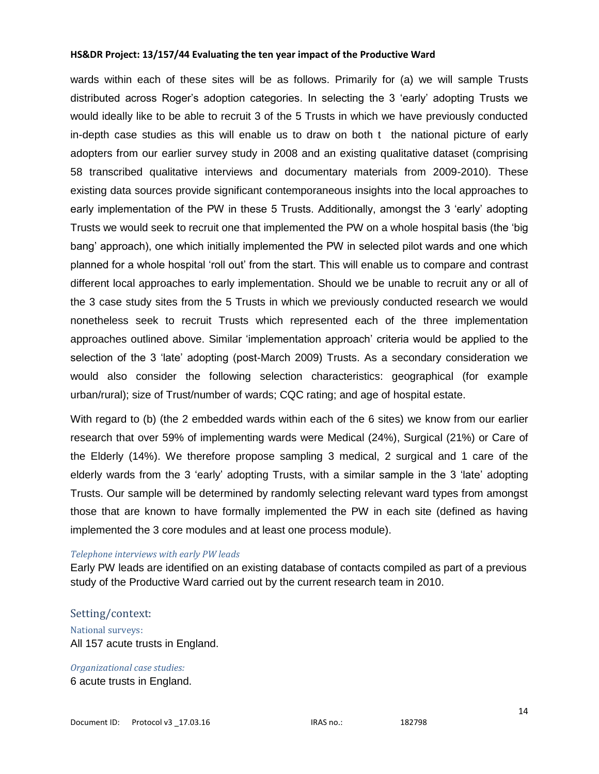wards within each of these sites will be as follows. Primarily for (a) we will sample Trusts distributed across Roger's adoption categories. In selecting the 3 'early' adopting Trusts we would ideally like to be able to recruit 3 of the 5 Trusts in which we have previously conducted in-depth case studies as this will enable us to draw on both t the national picture of early adopters from our earlier survey study in 2008 and an existing qualitative dataset (comprising 58 transcribed qualitative interviews and documentary materials from 2009-2010). These existing data sources provide significant contemporaneous insights into the local approaches to early implementation of the PW in these 5 Trusts. Additionally, amongst the 3 'early' adopting Trusts we would seek to recruit one that implemented the PW on a whole hospital basis (the 'big bang' approach), one which initially implemented the PW in selected pilot wards and one which planned for a whole hospital 'roll out' from the start. This will enable us to compare and contrast different local approaches to early implementation. Should we be unable to recruit any or all of the 3 case study sites from the 5 Trusts in which we previously conducted research we would nonetheless seek to recruit Trusts which represented each of the three implementation approaches outlined above. Similar 'implementation approach' criteria would be applied to the selection of the 3 'late' adopting (post-March 2009) Trusts. As a secondary consideration we would also consider the following selection characteristics: geographical (for example urban/rural); size of Trust/number of wards; CQC rating; and age of hospital estate.

With regard to (b) (the 2 embedded wards within each of the 6 sites) we know from our earlier research that over 59% of implementing wards were Medical (24%), Surgical (21%) or Care of the Elderly (14%). We therefore propose sampling 3 medical, 2 surgical and 1 care of the elderly wards from the 3 'early' adopting Trusts, with a similar sample in the 3 'late' adopting Trusts. Our sample will be determined by randomly selecting relevant ward types from amongst those that are known to have formally implemented the PW in each site (defined as having implemented the 3 core modules and at least one process module).

#### *Telephone interviews with early PW leads*

Early PW leads are identified on an existing database of contacts compiled as part of a previous study of the Productive Ward carried out by the current research team in 2010.

#### Setting/context:

National surveys: All 157 acute trusts in England.

*Organizational case studies:* 6 acute trusts in England.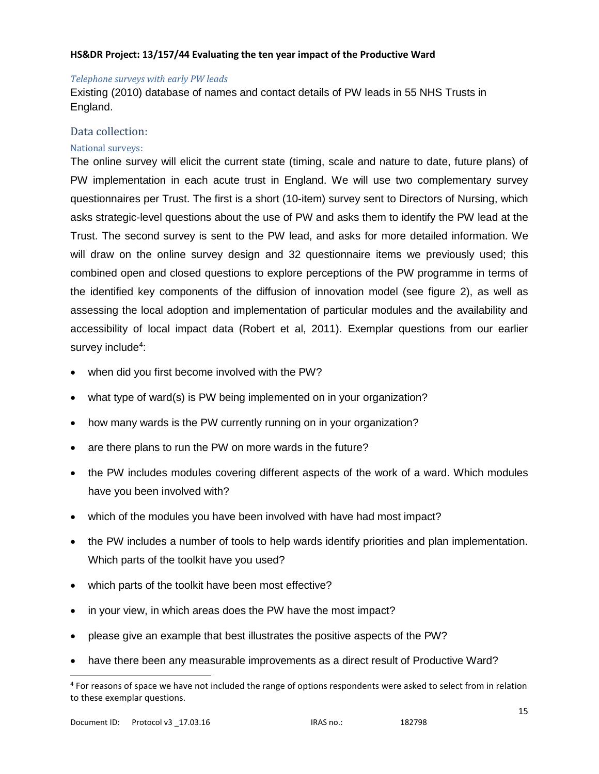#### *Telephone surveys with early PW leads*

Existing (2010) database of names and contact details of PW leads in 55 NHS Trusts in England.

### Data collection:

### National surveys:

The online survey will elicit the current state (timing, scale and nature to date, future plans) of PW implementation in each acute trust in England. We will use two complementary survey questionnaires per Trust. The first is a short (10-item) survey sent to Directors of Nursing, which asks strategic-level questions about the use of PW and asks them to identify the PW lead at the Trust. The second survey is sent to the PW lead, and asks for more detailed information. We will draw on the online survey design and 32 questionnaire items we previously used; this combined open and closed questions to explore perceptions of the PW programme in terms of the identified key components of the diffusion of innovation model (see figure 2), as well as assessing the local adoption and implementation of particular modules and the availability and accessibility of local impact data (Robert et al, 2011). Exemplar questions from our earlier survey include<sup>4</sup>:

- when did you first become involved with the PW?
- what type of ward(s) is PW being implemented on in your organization?
- how many wards is the PW currently running on in your organization?
- are there plans to run the PW on more wards in the future?
- the PW includes modules covering different aspects of the work of a ward. Which modules have you been involved with?
- which of the modules you have been involved with have had most impact?
- the PW includes a number of tools to help wards identify priorities and plan implementation. Which parts of the toolkit have you used?
- which parts of the toolkit have been most effective?
- in your view, in which areas does the PW have the most impact?
- please give an example that best illustrates the positive aspects of the PW?
- have there been any measurable improvements as a direct result of Productive Ward?

 $\overline{a}$ 

<sup>&</sup>lt;sup>4</sup> For reasons of space we have not included the range of options respondents were asked to select from in relation to these exemplar questions.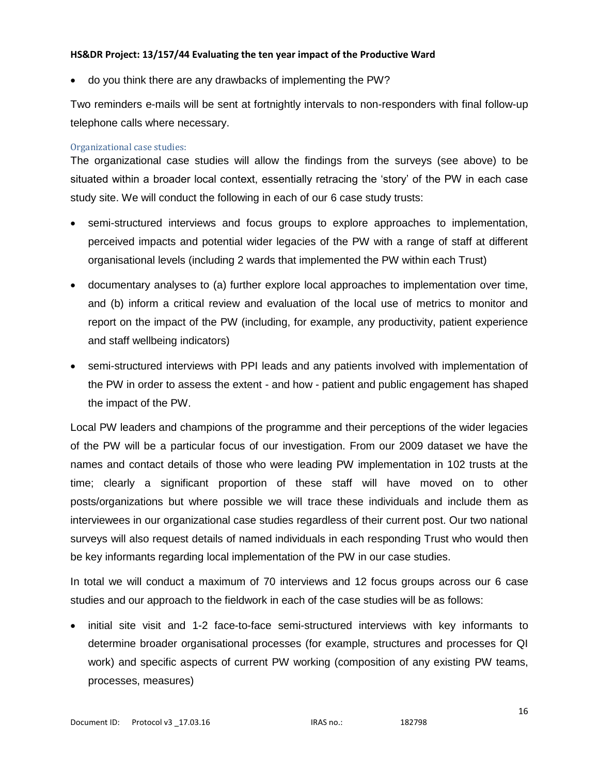do you think there are any drawbacks of implementing the PW?

Two reminders e-mails will be sent at fortnightly intervals to non-responders with final follow-up telephone calls where necessary.

### Organizational case studies:

The organizational case studies will allow the findings from the surveys (see above) to be situated within a broader local context, essentially retracing the 'story' of the PW in each case study site. We will conduct the following in each of our 6 case study trusts:

- semi-structured interviews and focus groups to explore approaches to implementation, perceived impacts and potential wider legacies of the PW with a range of staff at different organisational levels (including 2 wards that implemented the PW within each Trust)
- documentary analyses to (a) further explore local approaches to implementation over time, and (b) inform a critical review and evaluation of the local use of metrics to monitor and report on the impact of the PW (including, for example, any productivity, patient experience and staff wellbeing indicators)
- semi-structured interviews with PPI leads and any patients involved with implementation of the PW in order to assess the extent - and how - patient and public engagement has shaped the impact of the PW.

Local PW leaders and champions of the programme and their perceptions of the wider legacies of the PW will be a particular focus of our investigation. From our 2009 dataset we have the names and contact details of those who were leading PW implementation in 102 trusts at the time; clearly a significant proportion of these staff will have moved on to other posts/organizations but where possible we will trace these individuals and include them as interviewees in our organizational case studies regardless of their current post. Our two national surveys will also request details of named individuals in each responding Trust who would then be key informants regarding local implementation of the PW in our case studies.

In total we will conduct a maximum of 70 interviews and 12 focus groups across our 6 case studies and our approach to the fieldwork in each of the case studies will be as follows:

 initial site visit and 1-2 face-to-face semi-structured interviews with key informants to determine broader organisational processes (for example, structures and processes for QI work) and specific aspects of current PW working (composition of any existing PW teams, processes, measures)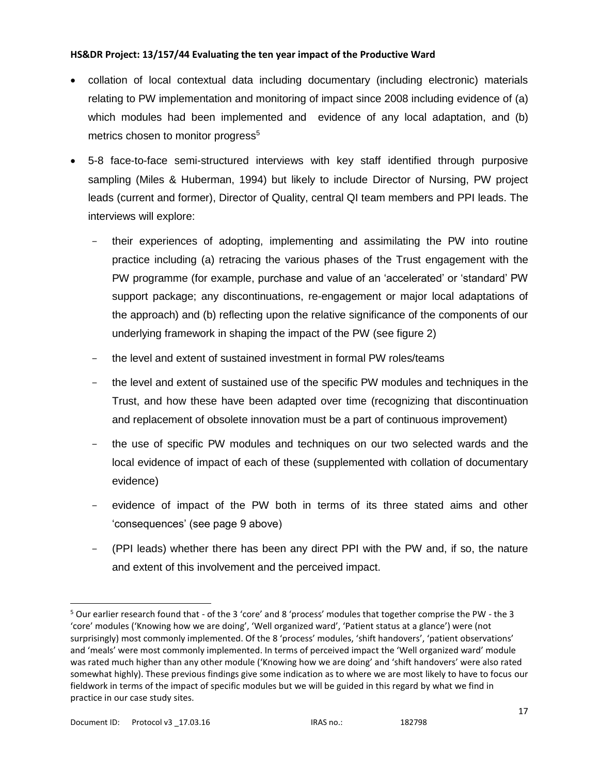- collation of local contextual data including documentary (including electronic) materials relating to PW implementation and monitoring of impact since 2008 including evidence of (a) which modules had been implemented and evidence of any local adaptation, and (b) metrics chosen to monitor progress<sup>5</sup>
- 5-8 face-to-face semi-structured interviews with key staff identified through purposive sampling (Miles & Huberman, 1994) but likely to include Director of Nursing, PW project leads (current and former), Director of Quality, central QI team members and PPI leads. The interviews will explore:
	- their experiences of adopting, implementing and assimilating the PW into routine practice including (a) retracing the various phases of the Trust engagement with the PW programme (for example, purchase and value of an 'accelerated' or 'standard' PW support package; any discontinuations, re-engagement or major local adaptations of the approach) and (b) reflecting upon the relative significance of the components of our underlying framework in shaping the impact of the PW (see figure 2)
	- the level and extent of sustained investment in formal PW roles/teams
	- the level and extent of sustained use of the specific PW modules and techniques in the Trust, and how these have been adapted over time (recognizing that discontinuation and replacement of obsolete innovation must be a part of continuous improvement)
	- the use of specific PW modules and techniques on our two selected wards and the local evidence of impact of each of these (supplemented with collation of documentary evidence)
	- evidence of impact of the PW both in terms of its three stated aims and other 'consequences' (see page 9 above)
	- (PPI leads) whether there has been any direct PPI with the PW and, if so, the nature and extent of this involvement and the perceived impact.

 $\overline{a}$ 

<sup>5</sup> Our earlier research found that - of the 3 'core' and 8 'process' modules that together comprise the PW - the 3 'core' modules ('Knowing how we are doing', 'Well organized ward', 'Patient status at a glance') were (not surprisingly) most commonly implemented. Of the 8 'process' modules, 'shift handovers', 'patient observations' and 'meals' were most commonly implemented. In terms of perceived impact the 'Well organized ward' module was rated much higher than any other module ('Knowing how we are doing' and 'shift handovers' were also rated somewhat highly). These previous findings give some indication as to where we are most likely to have to focus our fieldwork in terms of the impact of specific modules but we will be guided in this regard by what we find in practice in our case study sites.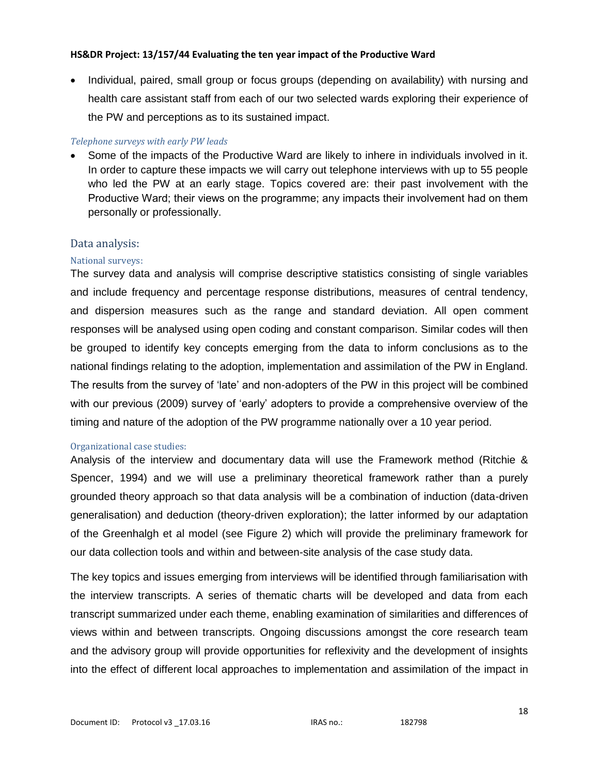Individual, paired, small group or focus groups (depending on availability) with nursing and health care assistant staff from each of our two selected wards exploring their experience of the PW and perceptions as to its sustained impact.

### *Telephone surveys with early PW leads*

 Some of the impacts of the Productive Ward are likely to inhere in individuals involved in it. In order to capture these impacts we will carry out telephone interviews with up to 55 people who led the PW at an early stage. Topics covered are: their past involvement with the Productive Ward; their views on the programme; any impacts their involvement had on them personally or professionally.

### Data analysis:

### National surveys:

The survey data and analysis will comprise descriptive statistics consisting of single variables and include frequency and percentage response distributions, measures of central tendency, and dispersion measures such as the range and standard deviation. All open comment responses will be analysed using open coding and constant comparison. Similar codes will then be grouped to identify key concepts emerging from the data to inform conclusions as to the national findings relating to the adoption, implementation and assimilation of the PW in England. The results from the survey of 'late' and non-adopters of the PW in this project will be combined with our previous (2009) survey of 'early' adopters to provide a comprehensive overview of the timing and nature of the adoption of the PW programme nationally over a 10 year period.

### Organizational case studies:

Analysis of the interview and documentary data will use the Framework method (Ritchie & Spencer, 1994) and we will use a preliminary theoretical framework rather than a purely grounded theory approach so that data analysis will be a combination of induction (data-driven generalisation) and deduction (theory-driven exploration); the latter informed by our adaptation of the Greenhalgh et al model (see Figure 2) which will provide the preliminary framework for our data collection tools and within and between-site analysis of the case study data.

The key topics and issues emerging from interviews will be identified through familiarisation with the interview transcripts. A series of thematic charts will be developed and data from each transcript summarized under each theme, enabling examination of similarities and differences of views within and between transcripts. Ongoing discussions amongst the core research team and the advisory group will provide opportunities for reflexivity and the development of insights into the effect of different local approaches to implementation and assimilation of the impact in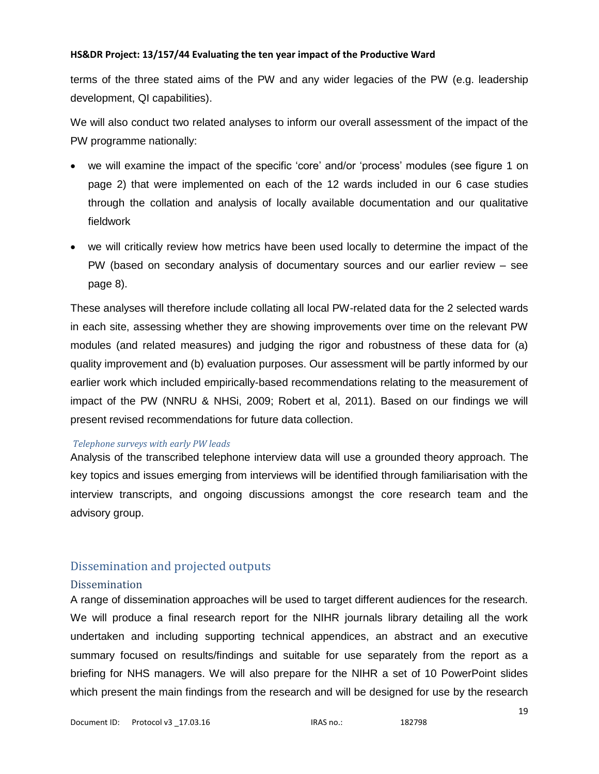terms of the three stated aims of the PW and any wider legacies of the PW (e.g. leadership development, QI capabilities).

We will also conduct two related analyses to inform our overall assessment of the impact of the PW programme nationally:

- we will examine the impact of the specific 'core' and/or 'process' modules (see figure 1 on page 2) that were implemented on each of the 12 wards included in our 6 case studies through the collation and analysis of locally available documentation and our qualitative fieldwork
- we will critically review how metrics have been used locally to determine the impact of the PW (based on secondary analysis of documentary sources and our earlier review – see page 8).

These analyses will therefore include collating all local PW-related data for the 2 selected wards in each site, assessing whether they are showing improvements over time on the relevant PW modules (and related measures) and judging the rigor and robustness of these data for (a) quality improvement and (b) evaluation purposes. Our assessment will be partly informed by our earlier work which included empirically-based recommendations relating to the measurement of impact of the PW (NNRU & NHSi, 2009; Robert et al, 2011). Based on our findings we will present revised recommendations for future data collection.

### *Telephone surveys with early PW leads*

Analysis of the transcribed telephone interview data will use a grounded theory approach. The key topics and issues emerging from interviews will be identified through familiarisation with the interview transcripts, and ongoing discussions amongst the core research team and the advisory group.

# Dissemination and projected outputs

### Dissemination

A range of dissemination approaches will be used to target different audiences for the research. We will produce a final research report for the NIHR journals library detailing all the work undertaken and including supporting technical appendices, an abstract and an executive summary focused on results/findings and suitable for use separately from the report as a briefing for NHS managers. We will also prepare for the NIHR a set of 10 PowerPoint slides which present the main findings from the research and will be designed for use by the research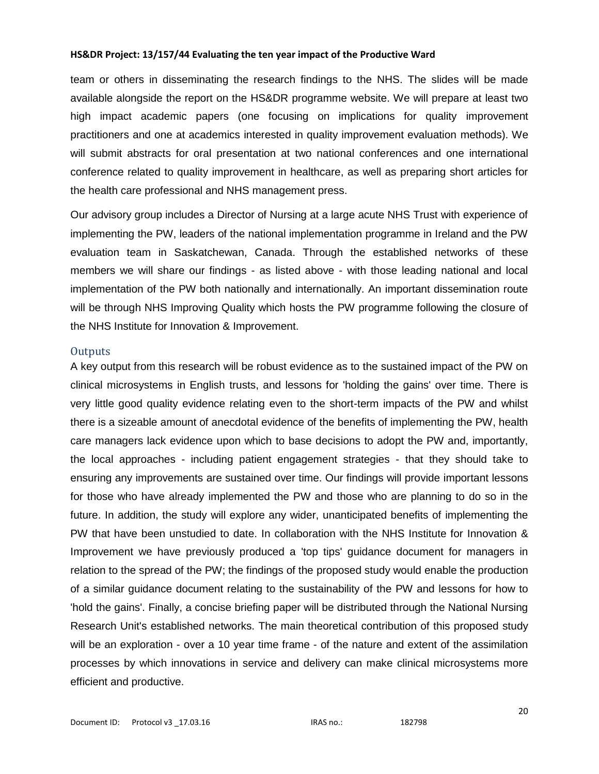team or others in disseminating the research findings to the NHS. The slides will be made available alongside the report on the HS&DR programme website. We will prepare at least two high impact academic papers (one focusing on implications for quality improvement practitioners and one at academics interested in quality improvement evaluation methods). We will submit abstracts for oral presentation at two national conferences and one international conference related to quality improvement in healthcare, as well as preparing short articles for the health care professional and NHS management press.

Our advisory group includes a Director of Nursing at a large acute NHS Trust with experience of implementing the PW, leaders of the national implementation programme in Ireland and the PW evaluation team in Saskatchewan, Canada. Through the established networks of these members we will share our findings - as listed above - with those leading national and local implementation of the PW both nationally and internationally. An important dissemination route will be through NHS Improving Quality which hosts the PW programme following the closure of the NHS Institute for Innovation & Improvement.

#### **Outputs**

A key output from this research will be robust evidence as to the sustained impact of the PW on clinical microsystems in English trusts, and lessons for 'holding the gains' over time. There is very little good quality evidence relating even to the short-term impacts of the PW and whilst there is a sizeable amount of anecdotal evidence of the benefits of implementing the PW, health care managers lack evidence upon which to base decisions to adopt the PW and, importantly, the local approaches - including patient engagement strategies - that they should take to ensuring any improvements are sustained over time. Our findings will provide important lessons for those who have already implemented the PW and those who are planning to do so in the future. In addition, the study will explore any wider, unanticipated benefits of implementing the PW that have been unstudied to date. In collaboration with the NHS Institute for Innovation & Improvement we have previously produced a 'top tips' guidance document for managers in relation to the spread of the PW; the findings of the proposed study would enable the production of a similar guidance document relating to the sustainability of the PW and lessons for how to 'hold the gains'. Finally, a concise briefing paper will be distributed through the National Nursing Research Unit's established networks. The main theoretical contribution of this proposed study will be an exploration - over a 10 year time frame - of the nature and extent of the assimilation processes by which innovations in service and delivery can make clinical microsystems more efficient and productive.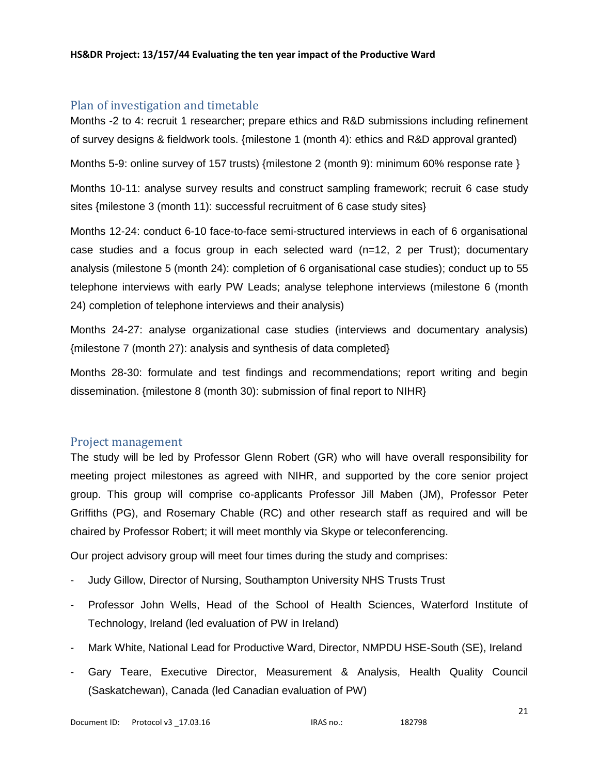# Plan of investigation and timetable

Months -2 to 4: recruit 1 researcher; prepare ethics and R&D submissions including refinement of survey designs & fieldwork tools. {milestone 1 (month 4): ethics and R&D approval granted)

Months 5-9: online survey of 157 trusts) {milestone 2 (month 9): minimum 60% response rate }

Months 10-11: analyse survey results and construct sampling framework; recruit 6 case study sites {milestone 3 (month 11): successful recruitment of 6 case study sites}

Months 12-24: conduct 6-10 face-to-face semi-structured interviews in each of 6 organisational case studies and a focus group in each selected ward (n=12, 2 per Trust); documentary analysis (milestone 5 (month 24): completion of 6 organisational case studies); conduct up to 55 telephone interviews with early PW Leads; analyse telephone interviews (milestone 6 (month 24) completion of telephone interviews and their analysis)

Months 24-27: analyse organizational case studies (interviews and documentary analysis) {milestone 7 (month 27): analysis and synthesis of data completed}

Months 28-30: formulate and test findings and recommendations; report writing and begin dissemination. {milestone 8 (month 30): submission of final report to NIHR}

### Project management

The study will be led by Professor Glenn Robert (GR) who will have overall responsibility for meeting project milestones as agreed with NIHR, and supported by the core senior project group. This group will comprise co-applicants Professor Jill Maben (JM), Professor Peter Griffiths (PG), and Rosemary Chable (RC) and other research staff as required and will be chaired by Professor Robert; it will meet monthly via Skype or teleconferencing.

Our project advisory group will meet four times during the study and comprises:

- Judy Gillow, Director of Nursing, Southampton University NHS Trusts Trust
- Professor John Wells, Head of the School of Health Sciences, Waterford Institute of Technology, Ireland (led evaluation of PW in Ireland)
- Mark White, National Lead for Productive Ward, Director, NMPDU HSE-South (SE), Ireland
- Gary Teare, Executive Director, Measurement & Analysis, Health Quality Council (Saskatchewan), Canada (led Canadian evaluation of PW)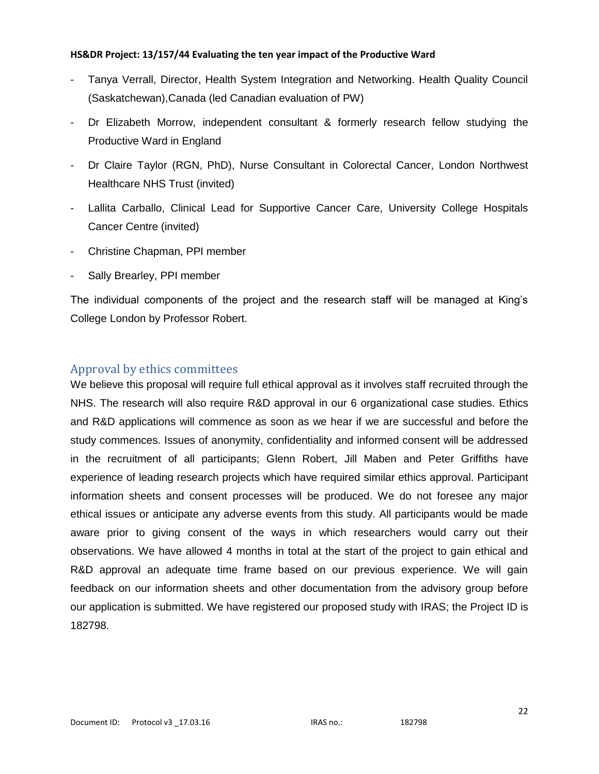- Tanya Verrall, Director, Health System Integration and Networking. Health Quality Council (Saskatchewan),Canada (led Canadian evaluation of PW)
- Dr Elizabeth Morrow, independent consultant & formerly research fellow studying the Productive Ward in England
- Dr Claire Taylor (RGN, PhD), Nurse Consultant in Colorectal Cancer, London Northwest Healthcare NHS Trust (invited)
- Lallita Carballo, Clinical Lead for Supportive Cancer Care, University College Hospitals Cancer Centre (invited)
- Christine Chapman, PPI member
- Sally Brearley, PPI member

The individual components of the project and the research staff will be managed at King's College London by Professor Robert.

# Approval by ethics committees

We believe this proposal will require full ethical approval as it involves staff recruited through the NHS. The research will also require R&D approval in our 6 organizational case studies. Ethics and R&D applications will commence as soon as we hear if we are successful and before the study commences. Issues of anonymity, confidentiality and informed consent will be addressed in the recruitment of all participants; Glenn Robert, Jill Maben and Peter Griffiths have experience of leading research projects which have required similar ethics approval. Participant information sheets and consent processes will be produced. We do not foresee any major ethical issues or anticipate any adverse events from this study. All participants would be made aware prior to giving consent of the ways in which researchers would carry out their observations. We have allowed 4 months in total at the start of the project to gain ethical and R&D approval an adequate time frame based on our previous experience. We will gain feedback on our information sheets and other documentation from the advisory group before our application is submitted. We have registered our proposed study with IRAS; the Project ID is 182798.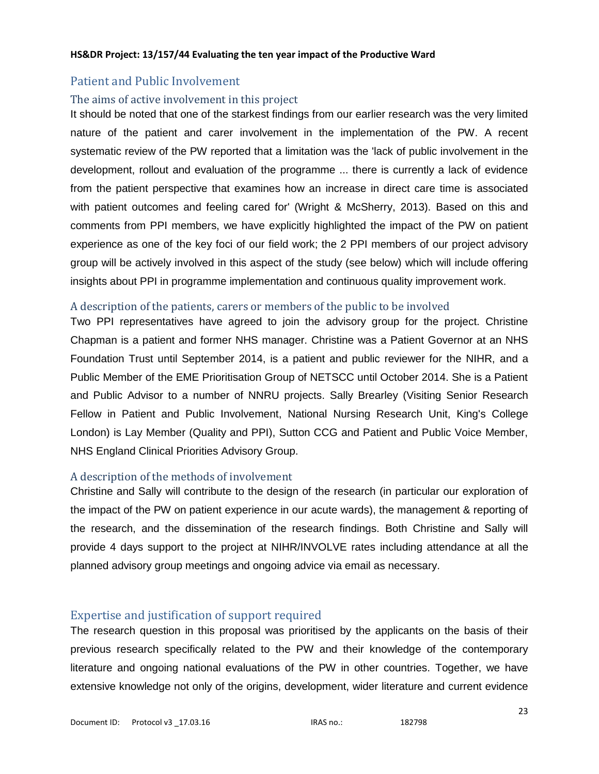# Patient and Public Involvement

## The aims of active involvement in this project

It should be noted that one of the starkest findings from our earlier research was the very limited nature of the patient and carer involvement in the implementation of the PW. A recent systematic review of the PW reported that a limitation was the 'lack of public involvement in the development, rollout and evaluation of the programme ... there is currently a lack of evidence from the patient perspective that examines how an increase in direct care time is associated with patient outcomes and feeling cared for' (Wright & McSherry, 2013). Based on this and comments from PPI members, we have explicitly highlighted the impact of the PW on patient experience as one of the key foci of our field work; the 2 PPI members of our project advisory group will be actively involved in this aspect of the study (see below) which will include offering insights about PPI in programme implementation and continuous quality improvement work.

# A description of the patients, carers or members of the public to be involved

Two PPI representatives have agreed to join the advisory group for the project. Christine Chapman is a patient and former NHS manager. Christine was a Patient Governor at an NHS Foundation Trust until September 2014, is a patient and public reviewer for the NIHR, and a Public Member of the EME Prioritisation Group of NETSCC until October 2014. She is a Patient and Public Advisor to a number of NNRU projects. Sally Brearley (Visiting Senior Research Fellow in Patient and Public Involvement, National Nursing Research Unit, King's College London) is Lay Member (Quality and PPI), Sutton CCG and Patient and Public Voice Member, NHS England Clinical Priorities Advisory Group.

# A description of the methods of involvement

Christine and Sally will contribute to the design of the research (in particular our exploration of the impact of the PW on patient experience in our acute wards), the management & reporting of the research, and the dissemination of the research findings. Both Christine and Sally will provide 4 days support to the project at NIHR/INVOLVE rates including attendance at all the planned advisory group meetings and ongoing advice via email as necessary.

# Expertise and justification of support required

The research question in this proposal was prioritised by the applicants on the basis of their previous research specifically related to the PW and their knowledge of the contemporary literature and ongoing national evaluations of the PW in other countries. Together, we have extensive knowledge not only of the origins, development, wider literature and current evidence